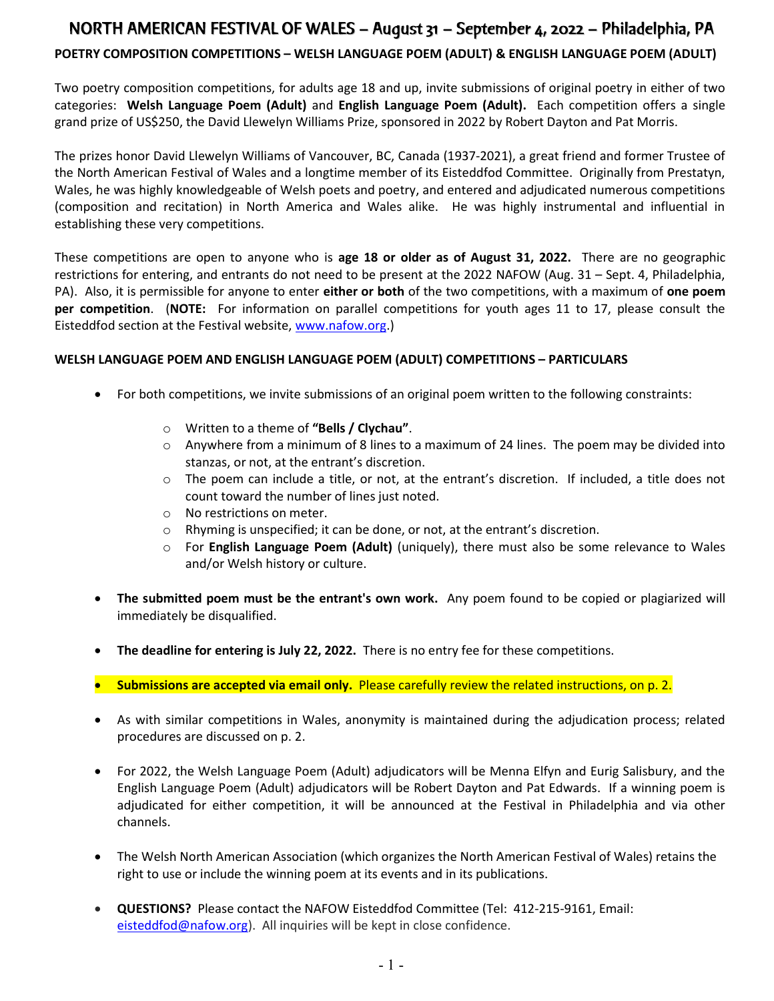# NORTH AMERICAN FESTIVAL OF WALES – August 31 – September 4, 2022 – Philadelphia, PA

### POETRY COMPOSITION COMPETITIONS – WELSH LANGUAGE POEM (ADULT) & ENGLISH LANGUAGE POEM (ADULT)

Two poetry composition competitions, for adults age 18 and up, invite submissions of original poetry in either of two categories: Welsh Language Poem (Adult) and English Language Poem (Adult). Each competition offers a single grand prize of US\$250, the David Llewelyn Williams Prize, sponsored in 2022 by Robert Dayton and Pat Morris.

The prizes honor David Llewelyn Williams of Vancouver, BC, Canada (1937-2021), a great friend and former Trustee of the North American Festival of Wales and a longtime member of its Eisteddfod Committee. Originally from Prestatyn, Wales, he was highly knowledgeable of Welsh poets and poetry, and entered and adjudicated numerous competitions (composition and recitation) in North America and Wales alike. He was highly instrumental and influential in establishing these very competitions.

These competitions are open to anyone who is age 18 or older as of August 31, 2022. There are no geographic restrictions for entering, and entrants do not need to be present at the 2022 NAFOW (Aug. 31 – Sept. 4, Philadelphia, PA). Also, it is permissible for anyone to enter either or both of the two competitions, with a maximum of one poem per competition. (NOTE: For information on parallel competitions for youth ages 11 to 17, please consult the Eisteddfod section at the Festival website, www.nafow.org.)

#### WELSH LANGUAGE POEM AND ENGLISH LANGUAGE POEM (ADULT) COMPETITIONS – PARTICULARS

- For both competitions, we invite submissions of an original poem written to the following constraints:
	- o Written to a theme of "Bells / Clychau".
	- $\circ$  Anywhere from a minimum of 8 lines to a maximum of 24 lines. The poem may be divided into stanzas, or not, at the entrant's discretion.
	- o The poem can include a title, or not, at the entrant's discretion. If included, a title does not count toward the number of lines just noted.
	- o No restrictions on meter.
	- o Rhyming is unspecified; it can be done, or not, at the entrant's discretion.
	- $\circ$  For English Language Poem (Adult) (uniquely), there must also be some relevance to Wales and/or Welsh history or culture.
- The submitted poem must be the entrant's own work. Any poem found to be copied or plagiarized will immediately be disqualified.
- The deadline for entering is July 22, 2022. There is no entry fee for these competitions.
- **•** Submissions are accepted via email only. Please carefully review the related instructions, on p. 2.
- As with similar competitions in Wales, anonymity is maintained during the adjudication process; related procedures are discussed on p. 2.
- For 2022, the Welsh Language Poem (Adult) adjudicators will be Menna Elfyn and Eurig Salisbury, and the English Language Poem (Adult) adjudicators will be Robert Dayton and Pat Edwards. If a winning poem is adjudicated for either competition, it will be announced at the Festival in Philadelphia and via other channels.
- The Welsh North American Association (which organizes the North American Festival of Wales) retains the right to use or include the winning poem at its events and in its publications.
- QUESTIONS? Please contact the NAFOW Eisteddfod Committee (Tel: 412-215-9161, Email: eisteddfod@nafow.org). All inquiries will be kept in close confidence.